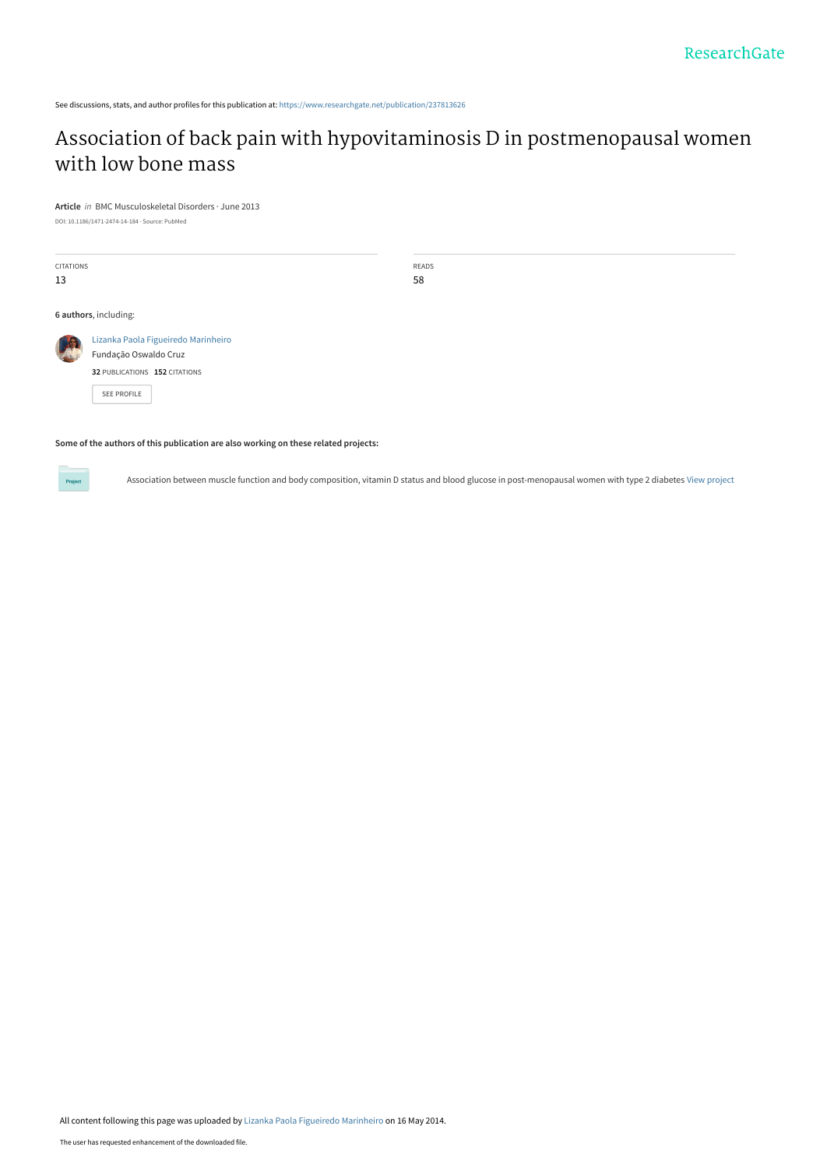See discussions, stats, and author profiles for this publication at: [https://www.researchgate.net/publication/237813626](https://www.researchgate.net/publication/237813626_Association_of_back_pain_with_hypovitaminosis_D_in_postmenopausal_women_with_low_bone_mass?enrichId=rgreq-ab2761f22675cdaeb83c55ce75bf182a-XXX&enrichSource=Y292ZXJQYWdlOzIzNzgxMzYyNjtBUzoxMDY2Mzk5NDQzMjMwNzJAMTQwMjQzNjM1MjI1Mg%3D%3D&el=1_x_2&_esc=publicationCoverPdf)

# [Association of back pain with hypovitaminosis D in postmenopausal women](https://www.researchgate.net/publication/237813626_Association_of_back_pain_with_hypovitaminosis_D_in_postmenopausal_women_with_low_bone_mass?enrichId=rgreq-ab2761f22675cdaeb83c55ce75bf182a-XXX&enrichSource=Y292ZXJQYWdlOzIzNzgxMzYyNjtBUzoxMDY2Mzk5NDQzMjMwNzJAMTQwMjQzNjM1MjI1Mg%3D%3D&el=1_x_3&_esc=publicationCoverPdf) with low bone mass

**Article** in BMC Musculoskeletal Disorders · June 2013

**32** PUBLICATIONS **152** CITATIONS

[SEE PROFILE](https://www.researchgate.net/profile/Lizanka_Marinheiro?enrichId=rgreq-ab2761f22675cdaeb83c55ce75bf182a-XXX&enrichSource=Y292ZXJQYWdlOzIzNzgxMzYyNjtBUzoxMDY2Mzk5NDQzMjMwNzJAMTQwMjQzNjM1MjI1Mg%3D%3D&el=1_x_7&_esc=publicationCoverPdf)

DOI: 10.1186/1471-2474-14-184 · Source: PubMed

CITATIONS 13 READS 58 **6 authors**, including: [Lizanka Paola Figueiredo Marinheiro](https://www.researchgate.net/profile/Lizanka_Marinheiro?enrichId=rgreq-ab2761f22675cdaeb83c55ce75bf182a-XXX&enrichSource=Y292ZXJQYWdlOzIzNzgxMzYyNjtBUzoxMDY2Mzk5NDQzMjMwNzJAMTQwMjQzNjM1MjI1Mg%3D%3D&el=1_x_5&_esc=publicationCoverPdf) [Fundação Oswaldo Cruz](https://www.researchgate.net/institution/Fundacao_Oswaldo_Cruz?enrichId=rgreq-ab2761f22675cdaeb83c55ce75bf182a-XXX&enrichSource=Y292ZXJQYWdlOzIzNzgxMzYyNjtBUzoxMDY2Mzk5NDQzMjMwNzJAMTQwMjQzNjM1MjI1Mg%3D%3D&el=1_x_6&_esc=publicationCoverPdf)

**Some of the authors of this publication are also working on these related projects:**

Project

Association between muscle function and body composition, vitamin D status and blood glucose in post-menopausal women with type 2 diabetes [View project](https://www.researchgate.net/project/Association-between-muscle-function-and-body-composition-vitamin-D-status-and-blood-glucose-in-post-menopausal-women-with-type-2-diabetes?enrichId=rgreq-ab2761f22675cdaeb83c55ce75bf182a-XXX&enrichSource=Y292ZXJQYWdlOzIzNzgxMzYyNjtBUzoxMDY2Mzk5NDQzMjMwNzJAMTQwMjQzNjM1MjI1Mg%3D%3D&el=1_x_9&_esc=publicationCoverPdf)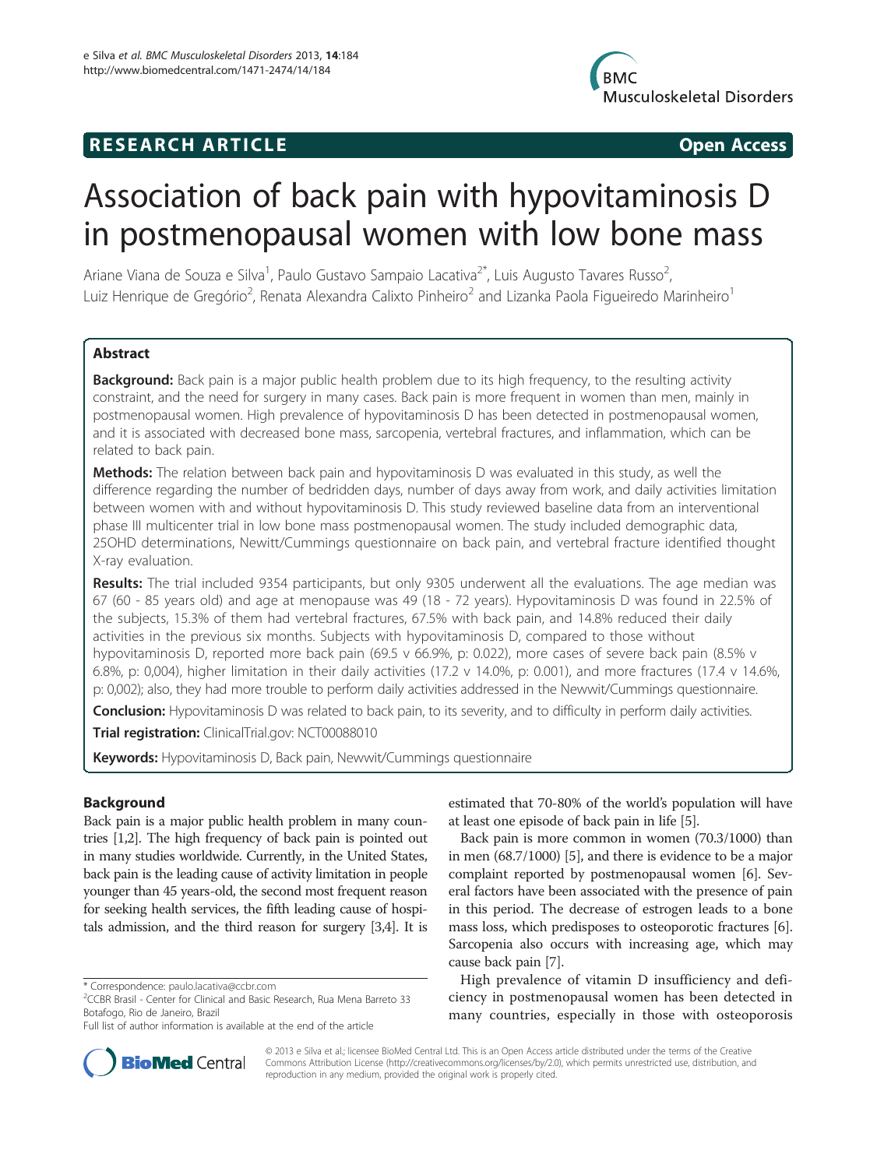

# **RESEARCH ARTICLE Example 2018 12:00 Open Access**

# Association of back pain with hypovitaminosis D in postmenopausal women with low bone mass

Ariane Viana de Souza e Silva<sup>1</sup>, Paulo Gustavo Sampaio Lacativa<sup>2\*</sup>, Luis Augusto Tavares Russo<sup>2</sup> , Luiz Henrique de Gregório<sup>2</sup>, Renata Alexandra Calixto Pinheiro<sup>2</sup> and Lizanka Paola Figueiredo Marinheiro<sup>1</sup>

# **Abstract**

Background: Back pain is a major public health problem due to its high frequency, to the resulting activity constraint, and the need for surgery in many cases. Back pain is more frequent in women than men, mainly in postmenopausal women. High prevalence of hypovitaminosis D has been detected in postmenopausal women, and it is associated with decreased bone mass, sarcopenia, vertebral fractures, and inflammation, which can be related to back pain.

Methods: The relation between back pain and hypovitaminosis D was evaluated in this study, as well the difference regarding the number of bedridden days, number of days away from work, and daily activities limitation between women with and without hypovitaminosis D. This study reviewed baseline data from an interventional phase III multicenter trial in low bone mass postmenopausal women. The study included demographic data, 25OHD determinations, Newitt/Cummings questionnaire on back pain, and vertebral fracture identified thought X-ray evaluation.

Results: The trial included 9354 participants, but only 9305 underwent all the evaluations. The age median was 67 (60 - 85 years old) and age at menopause was 49 (18 - 72 years). Hypovitaminosis D was found in 22.5% of the subjects, 15.3% of them had vertebral fractures, 67.5% with back pain, and 14.8% reduced their daily activities in the previous six months. Subjects with hypovitaminosis D, compared to those without hypovitaminosis D, reported more back pain (69.5 v 66.9%, p: 0.022), more cases of severe back pain (8.5% v 6.8%, p: 0,004), higher limitation in their daily activities (17.2 v 14.0%, p: 0.001), and more fractures (17.4 v 14.6%, p: 0,002); also, they had more trouble to perform daily activities addressed in the Newwit/Cummings questionnaire.

Conclusion: Hypovitaminosis D was related to back pain, to its severity, and to difficulty in perform daily activities.

Trial registration: ClinicalTrial.gov: [NCT00088010](http://www.clinicaltrials.gov/ct2/results?term=NCT00088010&Search=Search)

Keywords: Hypovitaminosis D, Back pain, Newwit/Cummings questionnaire

# Background

Back pain is a major public health problem in many countries [[1,2](#page-7-0)]. The high frequency of back pain is pointed out in many studies worldwide. Currently, in the United States, back pain is the leading cause of activity limitation in people younger than 45 years-old, the second most frequent reason for seeking health services, the fifth leading cause of hospitals admission, and the third reason for surgery [[3,4\]](#page-7-0). It is

estimated that 70-80% of the world's population will have at least one episode of back pain in life [\[5](#page-7-0)].

Back pain is more common in women (70.3/1000) than in men (68.7/1000) [[5](#page-7-0)], and there is evidence to be a major complaint reported by postmenopausal women [\[6\]](#page-7-0). Several factors have been associated with the presence of pain in this period. The decrease of estrogen leads to a bone mass loss, which predisposes to osteoporotic fractures [[6](#page-7-0)]. Sarcopenia also occurs with increasing age, which may cause back pain [\[7](#page-7-0)].

High prevalence of vitamin D insufficiency and deficiency in postmenopausal women has been detected in many countries, especially in those with osteoporosis



© 2013 e Silva et al.; licensee BioMed Central Ltd. This is an Open Access article distributed under the terms of the Creative Commons Attribution License [\(http://creativecommons.org/licenses/by/2.0\)](http://creativecommons.org/licenses/by/2.0), which permits unrestricted use, distribution, and reproduction in any medium, provided the original work is properly cited.

<sup>\*</sup> Correspondence: [paulo.lacativa@ccbr.com](mailto:paulo.lacativa@ccbr.com) <sup>2</sup>

<sup>&</sup>lt;sup>2</sup>CCBR Brasil - Center for Clinical and Basic Research, Rua Mena Barreto 33 Botafogo, Rio de Janeiro, Brazil

Full list of author information is available at the end of the article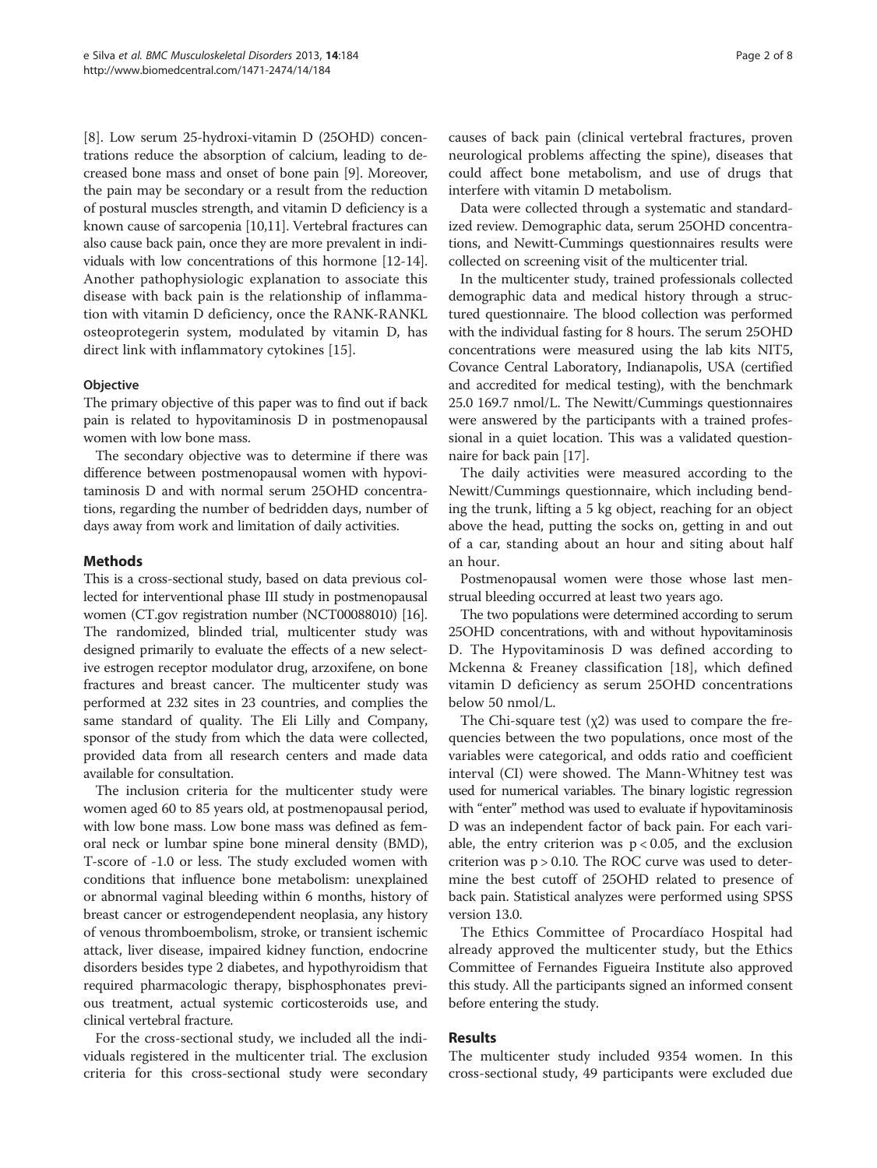[[8\]](#page-7-0). Low serum 25-hydroxi-vitamin D (25OHD) concentrations reduce the absorption of calcium, leading to decreased bone mass and onset of bone pain [[9](#page-7-0)]. Moreover, the pain may be secondary or a result from the reduction of postural muscles strength, and vitamin D deficiency is a known cause of sarcopenia [[10](#page-7-0),[11](#page-7-0)]. Vertebral fractures can also cause back pain, once they are more prevalent in individuals with low concentrations of this hormone [[12](#page-7-0)-[14](#page-8-0)]. Another pathophysiologic explanation to associate this disease with back pain is the relationship of inflammation with vitamin D deficiency, once the RANK-RANKL osteoprotegerin system, modulated by vitamin D, has direct link with inflammatory cytokines [\[15](#page-8-0)].

## **Objective**

The primary objective of this paper was to find out if back pain is related to hypovitaminosis D in postmenopausal women with low bone mass.

The secondary objective was to determine if there was difference between postmenopausal women with hypovitaminosis D and with normal serum 25OHD concentrations, regarding the number of bedridden days, number of days away from work and limitation of daily activities.

# Methods

This is a cross-sectional study, based on data previous collected for interventional phase III study in postmenopausal women (CT.gov registration number (NCT00088010) [\[16](#page-8-0)]. The randomized, blinded trial, multicenter study was designed primarily to evaluate the effects of a new selective estrogen receptor modulator drug, arzoxifene, on bone fractures and breast cancer. The multicenter study was performed at 232 sites in 23 countries, and complies the same standard of quality. The Eli Lilly and Company, sponsor of the study from which the data were collected, provided data from all research centers and made data available for consultation.

The inclusion criteria for the multicenter study were women aged 60 to 85 years old, at postmenopausal period, with low bone mass. Low bone mass was defined as femoral neck or lumbar spine bone mineral density (BMD), T-score of -1.0 or less. The study excluded women with conditions that influence bone metabolism: unexplained or abnormal vaginal bleeding within 6 months, history of breast cancer or estrogendependent neoplasia, any history of venous thromboembolism, stroke, or transient ischemic attack, liver disease, impaired kidney function, endocrine disorders besides type 2 diabetes, and hypothyroidism that required pharmacologic therapy, bisphosphonates previous treatment, actual systemic corticosteroids use, and clinical vertebral fracture.

For the cross-sectional study, we included all the individuals registered in the multicenter trial. The exclusion criteria for this cross-sectional study were secondary

causes of back pain (clinical vertebral fractures, proven neurological problems affecting the spine), diseases that could affect bone metabolism, and use of drugs that interfere with vitamin D metabolism.

Data were collected through a systematic and standardized review. Demographic data, serum 25OHD concentrations, and Newitt-Cummings questionnaires results were collected on screening visit of the multicenter trial.

In the multicenter study, trained professionals collected demographic data and medical history through a structured questionnaire. The blood collection was performed with the individual fasting for 8 hours. The serum 25OHD concentrations were measured using the lab kits NIT5, Covance Central Laboratory, Indianapolis, USA (certified and accredited for medical testing), with the benchmark 25.0 169.7 nmol/L. The Newitt/Cummings questionnaires were answered by the participants with a trained professional in a quiet location. This was a validated questionnaire for back pain [\[17](#page-8-0)].

The daily activities were measured according to the Newitt/Cummings questionnaire, which including bending the trunk, lifting a 5 kg object, reaching for an object above the head, putting the socks on, getting in and out of a car, standing about an hour and siting about half an hour.

Postmenopausal women were those whose last menstrual bleeding occurred at least two years ago.

The two populations were determined according to serum 25OHD concentrations, with and without hypovitaminosis D. The Hypovitaminosis D was defined according to Mckenna & Freaney classification [\[18](#page-8-0)], which defined vitamin D deficiency as serum 25OHD concentrations below 50 nmol/L.

The Chi-square test  $(\chi_2)$  was used to compare the frequencies between the two populations, once most of the variables were categorical, and odds ratio and coefficient interval (CI) were showed. The Mann-Whitney test was used for numerical variables. The binary logistic regression with "enter" method was used to evaluate if hypovitaminosis D was an independent factor of back pain. For each variable, the entry criterion was  $p < 0.05$ , and the exclusion criterion was  $p > 0.10$ . The ROC curve was used to determine the best cutoff of 25OHD related to presence of back pain. Statistical analyzes were performed using SPSS version 13.0.

The Ethics Committee of Procardíaco Hospital had already approved the multicenter study, but the Ethics Committee of Fernandes Figueira Institute also approved this study. All the participants signed an informed consent before entering the study.

#### Results

The multicenter study included 9354 women. In this cross-sectional study, 49 participants were excluded due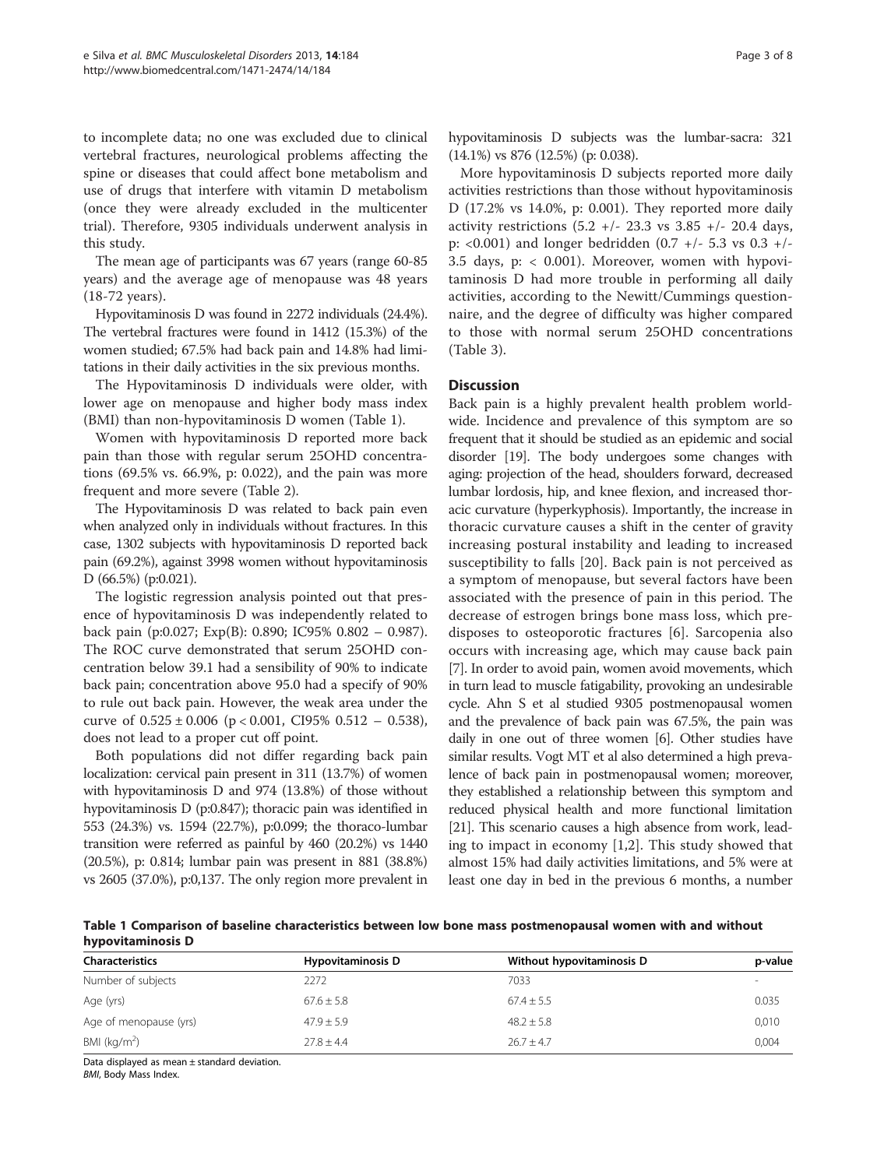to incomplete data; no one was excluded due to clinical vertebral fractures, neurological problems affecting the spine or diseases that could affect bone metabolism and use of drugs that interfere with vitamin D metabolism (once they were already excluded in the multicenter trial). Therefore, 9305 individuals underwent analysis in this study.

The mean age of participants was 67 years (range 60-85 years) and the average age of menopause was 48 years (18-72 years).

Hypovitaminosis D was found in 2272 individuals (24.4%). The vertebral fractures were found in 1412 (15.3%) of the women studied; 67.5% had back pain and 14.8% had limitations in their daily activities in the six previous months.

The Hypovitaminosis D individuals were older, with lower age on menopause and higher body mass index (BMI) than non-hypovitaminosis D women (Table 1).

Women with hypovitaminosis D reported more back pain than those with regular serum 25OHD concentrations (69.5% vs. 66.9%, p: 0.022), and the pain was more frequent and more severe (Table [2\)](#page-4-0).

The Hypovitaminosis D was related to back pain even when analyzed only in individuals without fractures. In this case, 1302 subjects with hypovitaminosis D reported back pain (69.2%), against 3998 women without hypovitaminosis D (66.5%) (p:0.021).

The logistic regression analysis pointed out that presence of hypovitaminosis D was independently related to back pain (p:0.027; Exp(B): 0.890; IC95% 0.802 – 0.987). The ROC curve demonstrated that serum 25OHD concentration below 39.1 had a sensibility of 90% to indicate back pain; concentration above 95.0 had a specify of 90% to rule out back pain. However, the weak area under the curve of  $0.525 \pm 0.006$  (p < 0.001, CI95% 0.512 – 0.538), does not lead to a proper cut off point.

Both populations did not differ regarding back pain localization: cervical pain present in 311 (13.7%) of women with hypovitaminosis D and 974 (13.8%) of those without hypovitaminosis D (p:0.847); thoracic pain was identified in 553 (24.3%) vs. 1594 (22.7%), p:0.099; the thoraco-lumbar transition were referred as painful by 460 (20.2%) vs 1440 (20.5%), p: 0.814; lumbar pain was present in 881 (38.8%) vs 2605 (37.0%), p:0,137. The only region more prevalent in hypovitaminosis D subjects was the lumbar-sacra: 321 (14.1%) vs 876 (12.5%) (p: 0.038).

More hypovitaminosis D subjects reported more daily activities restrictions than those without hypovitaminosis D (17.2% vs 14.0%, p: 0.001). They reported more daily activity restrictions  $(5.2 +/- 23.3 \text{ vs } 3.85 +/- 20.4 \text{ days})$ p: <0.001) and longer bedridden (0.7 +/- 5.3 vs 0.3 +/- 3.5 days, p: < 0.001). Moreover, women with hypovitaminosis D had more trouble in performing all daily activities, according to the Newitt/Cummings questionnaire, and the degree of difficulty was higher compared to those with normal serum 25OHD concentrations (Table [3\)](#page-5-0).

## **Discussion**

Back pain is a highly prevalent health problem worldwide. Incidence and prevalence of this symptom are so frequent that it should be studied as an epidemic and social disorder [[19](#page-8-0)]. The body undergoes some changes with aging: projection of the head, shoulders forward, decreased lumbar lordosis, hip, and knee flexion, and increased thoracic curvature (hyperkyphosis). Importantly, the increase in thoracic curvature causes a shift in the center of gravity increasing postural instability and leading to increased susceptibility to falls [[20](#page-8-0)]. Back pain is not perceived as a symptom of menopause, but several factors have been associated with the presence of pain in this period. The decrease of estrogen brings bone mass loss, which predisposes to osteoporotic fractures [\[6](#page-7-0)]. Sarcopenia also occurs with increasing age, which may cause back pain [[7](#page-7-0)]. In order to avoid pain, women avoid movements, which in turn lead to muscle fatigability, provoking an undesirable cycle. Ahn S et al studied 9305 postmenopausal women and the prevalence of back pain was 67.5%, the pain was daily in one out of three women [\[6](#page-7-0)]. Other studies have similar results. Vogt MT et al also determined a high prevalence of back pain in postmenopausal women; moreover, they established a relationship between this symptom and reduced physical health and more functional limitation [[21](#page-8-0)]. This scenario causes a high absence from work, leading to impact in economy [\[1](#page-7-0),[2\]](#page-7-0). This study showed that almost 15% had daily activities limitations, and 5% were at least one day in bed in the previous 6 months, a number

Table 1 Comparison of baseline characteristics between low bone mass postmenopausal women with and without hypovitaminosis D

| Characteristics        | <b>Hypovitaminosis D</b> | Without hypovitaminosis D | p-value |
|------------------------|--------------------------|---------------------------|---------|
| Number of subjects     | 2272                     | 7033                      |         |
| Age (yrs)              | $67.6 \pm 5.8$           | $67.4 \pm 5.5$            | 0.035   |
| Age of menopause (yrs) | $47.9 + 5.9$             | $48.2 + 5.8$              | 0.010   |
| BMI ( $kg/m2$ )        | $27.8 \pm 4.4$           | $26.7 + 4.7$              | 0,004   |

Data displayed as mean ± standard deviation.

BMI, Body Mass Index.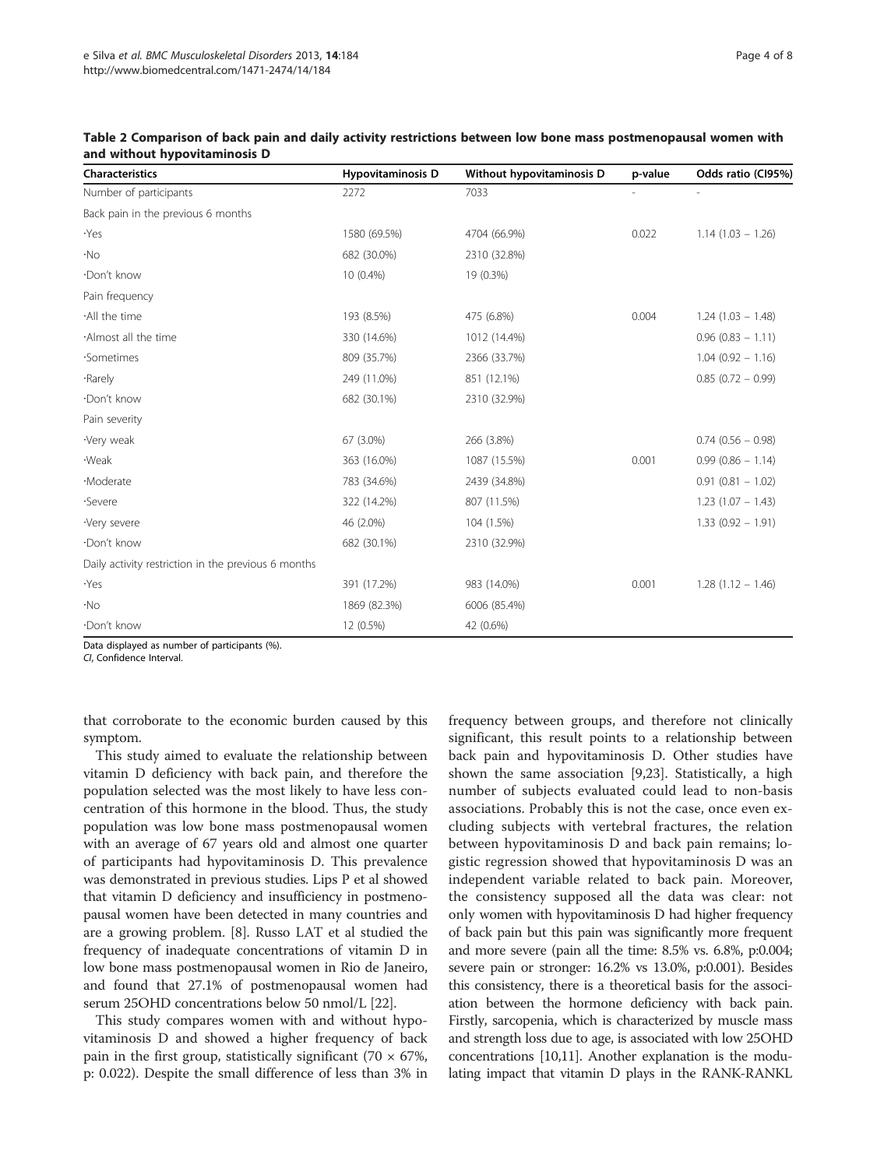| Characteristics                                     | <b>Hypovitaminosis D</b> | Without hypovitaminosis D | p-value | Odds ratio (CI95%)     |
|-----------------------------------------------------|--------------------------|---------------------------|---------|------------------------|
| Number of participants                              | 2272                     | 7033                      |         |                        |
| Back pain in the previous 6 months                  |                          |                           |         |                        |
| ·Yes                                                | 1580 (69.5%)             | 4704 (66.9%)              | 0.022   | $1.14(1.03 - 1.26)$    |
| $\cdot$ No                                          | 682 (30.0%)              | 2310 (32.8%)              |         |                        |
| Don't know                                          | 10 (0.4%)                | 19 (0.3%)                 |         |                        |
| Pain frequency                                      |                          |                           |         |                        |
| ·All the time                                       | 193 (8.5%)               | 475 (6.8%)                | 0.004   | $1.24(1.03 - 1.48)$    |
| ·Almost all the time                                | 330 (14.6%)              | 1012 (14.4%)              |         | $0.96(0.83 - 1.11)$    |
| ·Sometimes                                          | 809 (35.7%)              | 2366 (33.7%)              |         | $1.04(0.92 - 1.16)$    |
| ·Rarely                                             | 249 (11.0%)              | 851 (12.1%)               |         | $0.85(0.72 - 0.99)$    |
| ·Don't know                                         | 682 (30.1%)              | 2310 (32.9%)              |         |                        |
| Pain severity                                       |                          |                           |         |                        |
| ·Very weak                                          | 67 (3.0%)                | 266 (3.8%)                |         | $0.74$ $(0.56 - 0.98)$ |
| ·Weak                                               | 363 (16.0%)              | 1087 (15.5%)              | 0.001   | $0.99(0.86 - 1.14)$    |
| ·Moderate                                           | 783 (34.6%)              | 2439 (34.8%)              |         | $0.91(0.81 - 1.02)$    |
| ·Severe                                             | 322 (14.2%)              | 807 (11.5%)               |         | $1.23(1.07 - 1.43)$    |
| ·Very severe                                        | 46 (2.0%)                | 104 (1.5%)                |         | $1.33(0.92 - 1.91)$    |
| ·Don't know                                         | 682 (30.1%)              | 2310 (32.9%)              |         |                        |
| Daily activity restriction in the previous 6 months |                          |                           |         |                        |
| ·Yes                                                | 391 (17.2%)              | 983 (14.0%)               | 0.001   | $1.28(1.12 - 1.46)$    |
| ۰No                                                 | 1869 (82.3%)             | 6006 (85.4%)              |         |                        |
| ·Don't know                                         | 12 (0.5%)                | 42 (0.6%)                 |         |                        |
| Data displayed as number of participants (%)        |                          |                           |         |                        |

<span id="page-4-0"></span>

| Table 2 Comparison of back pain and daily activity restrictions between low bone mass postmenopausal women with |  |  |  |
|-----------------------------------------------------------------------------------------------------------------|--|--|--|
| and without hypovitaminosis D                                                                                   |  |  |  |

or participants (%)

CI, Confidence Interval.

that corroborate to the economic burden caused by this symptom.

This study aimed to evaluate the relationship between vitamin D deficiency with back pain, and therefore the population selected was the most likely to have less concentration of this hormone in the blood. Thus, the study population was low bone mass postmenopausal women with an average of 67 years old and almost one quarter of participants had hypovitaminosis D. This prevalence was demonstrated in previous studies. Lips P et al showed that vitamin D deficiency and insufficiency in postmenopausal women have been detected in many countries and are a growing problem. [[8\]](#page-7-0). Russo LAT et al studied the frequency of inadequate concentrations of vitamin D in low bone mass postmenopausal women in Rio de Janeiro, and found that 27.1% of postmenopausal women had serum 25OHD concentrations below 50 nmol/L [[22](#page-8-0)].

This study compares women with and without hypovitaminosis D and showed a higher frequency of back pain in the first group, statistically significant (70  $\times$  67%, p: 0.022). Despite the small difference of less than 3% in frequency between groups, and therefore not clinically significant, this result points to a relationship between back pain and hypovitaminosis D. Other studies have shown the same association [[9,](#page-7-0)[23\]](#page-8-0). Statistically, a high number of subjects evaluated could lead to non-basis associations. Probably this is not the case, once even excluding subjects with vertebral fractures, the relation between hypovitaminosis D and back pain remains; logistic regression showed that hypovitaminosis D was an independent variable related to back pain. Moreover, the consistency supposed all the data was clear: not only women with hypovitaminosis D had higher frequency of back pain but this pain was significantly more frequent and more severe (pain all the time: 8.5% vs. 6.8%, p:0.004; severe pain or stronger: 16.2% vs 13.0%, p:0.001). Besides this consistency, there is a theoretical basis for the association between the hormone deficiency with back pain. Firstly, sarcopenia, which is characterized by muscle mass and strength loss due to age, is associated with low 25OHD concentrations [[10,11\]](#page-7-0). Another explanation is the modulating impact that vitamin D plays in the RANK-RANKL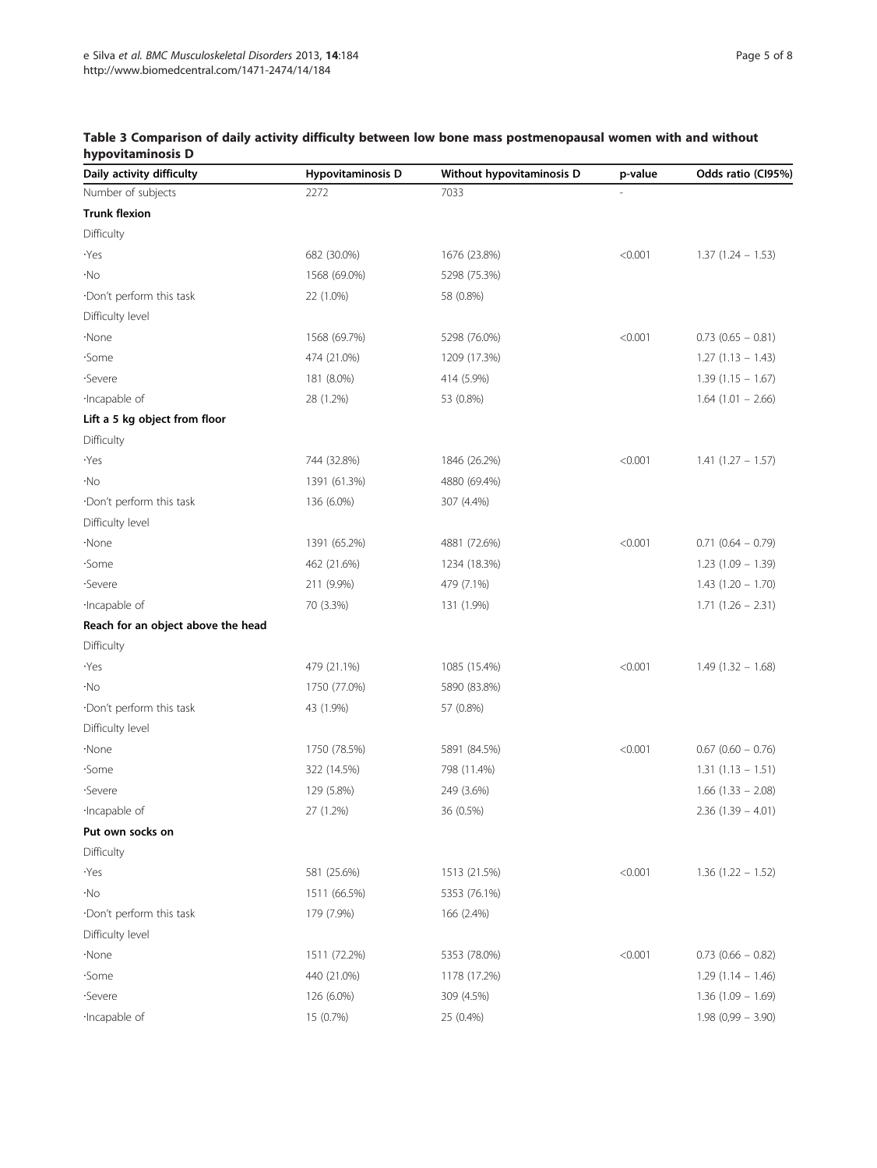| Daily activity difficulty          | Hypovitaminosis D | Without hypovitaminosis D | p-value | Odds ratio (CI95%)     |
|------------------------------------|-------------------|---------------------------|---------|------------------------|
| Number of subjects                 | 2272              | 7033                      |         |                        |
| <b>Trunk flexion</b>               |                   |                           |         |                        |
| Difficulty                         |                   |                           |         |                        |
| ۰Yes                               | 682 (30.0%)       | 1676 (23.8%)              | < 0.001 | $1.37(1.24 - 1.53)$    |
| ۰No                                | 1568 (69.0%)      | 5298 (75.3%)              |         |                        |
| ·Don't perform this task           | 22 (1.0%)         | 58 (0.8%)                 |         |                        |
| Difficulty level                   |                   |                           |         |                        |
| ·None                              | 1568 (69.7%)      | 5298 (76.0%)              | < 0.001 | $0.73$ (0.65 - 0.81)   |
| ·Some                              | 474 (21.0%)       | 1209 (17.3%)              |         | $1.27(1.13 - 1.43)$    |
| ·Severe                            | 181 (8.0%)        | 414 (5.9%)                |         | $1.39(1.15 - 1.67)$    |
| ·Incapable of                      | 28 (1.2%)         | 53 (0.8%)                 |         | $1.64(1.01 - 2.66)$    |
| Lift a 5 kg object from floor      |                   |                           |         |                        |
| Difficulty                         |                   |                           |         |                        |
| ۰Yes                               | 744 (32.8%)       | 1846 (26.2%)              | < 0.001 | $1.41(1.27 - 1.57)$    |
| ۰No                                | 1391 (61.3%)      | 4880 (69.4%)              |         |                        |
| ·Don't perform this task           | 136 (6.0%)        | 307 (4.4%)                |         |                        |
| Difficulty level                   |                   |                           |         |                        |
| ·None                              | 1391 (65.2%)      | 4881 (72.6%)              | < 0.001 | $0.71$ $(0.64 - 0.79)$ |
| ·Some                              | 462 (21.6%)       | 1234 (18.3%)              |         | $1.23(1.09 - 1.39)$    |
| ·Severe                            | 211 (9.9%)        | 479 (7.1%)                |         | $1.43(1.20 - 1.70)$    |
| ·Incapable of                      | 70 (3.3%)         | 131 (1.9%)                |         | $1.71(1.26 - 2.31)$    |
| Reach for an object above the head |                   |                           |         |                        |
| Difficulty                         |                   |                           |         |                        |
| ۰Yes                               | 479 (21.1%)       | 1085 (15.4%)              | < 0.001 | $1.49(1.32 - 1.68)$    |
| ۰No                                | 1750 (77.0%)      | 5890 (83.8%)              |         |                        |
| ·Don't perform this task           | 43 (1.9%)         | 57 (0.8%)                 |         |                        |
| Difficulty level                   |                   |                           |         |                        |
| ·None                              | 1750 (78.5%)      | 5891 (84.5%)              | < 0.001 | $0.67$ (0.60 - 0.76)   |
| ·Some                              | 322 (14.5%)       | 798 (11.4%)               |         | $1.31(1.13 - 1.51)$    |
| ·Severe                            | 129 (5.8%)        | 249 (3.6%)                |         | $1.66$ (1.33 - 2.08)   |
| ·Incapable of                      | 27 (1.2%)         | 36 (0.5%)                 |         | $2.36(1.39 - 4.01)$    |
| Put own socks on                   |                   |                           |         |                        |
| Difficulty                         |                   |                           |         |                        |
| ۰Yes                               | 581 (25.6%)       | 1513 (21.5%)              | < 0.001 | $1.36(1.22 - 1.52)$    |
| ۰No                                | 1511 (66.5%)      | 5353 (76.1%)              |         |                        |
| ·Don't perform this task           | 179 (7.9%)        | 166 (2.4%)                |         |                        |
| Difficulty level                   |                   |                           |         |                        |
| ·None                              | 1511 (72.2%)      | 5353 (78.0%)              | < 0.001 | $0.73$ (0.66 - 0.82)   |
| ·Some                              | 440 (21.0%)       | 1178 (17.2%)              |         | $1.29(1.14 - 1.46)$    |
| ·Severe                            | 126 (6.0%)        | 309 (4.5%)                |         | $1.36(1.09 - 1.69)$    |
| ·Incapable of                      | 15 (0.7%)         | 25 (0.4%)                 |         | $1.98(0.99 - 3.90)$    |
|                                    |                   |                           |         |                        |

# <span id="page-5-0"></span>Table 3 Comparison of daily activity difficulty between low bone mass postmenopausal women with and without hypovitaminosis D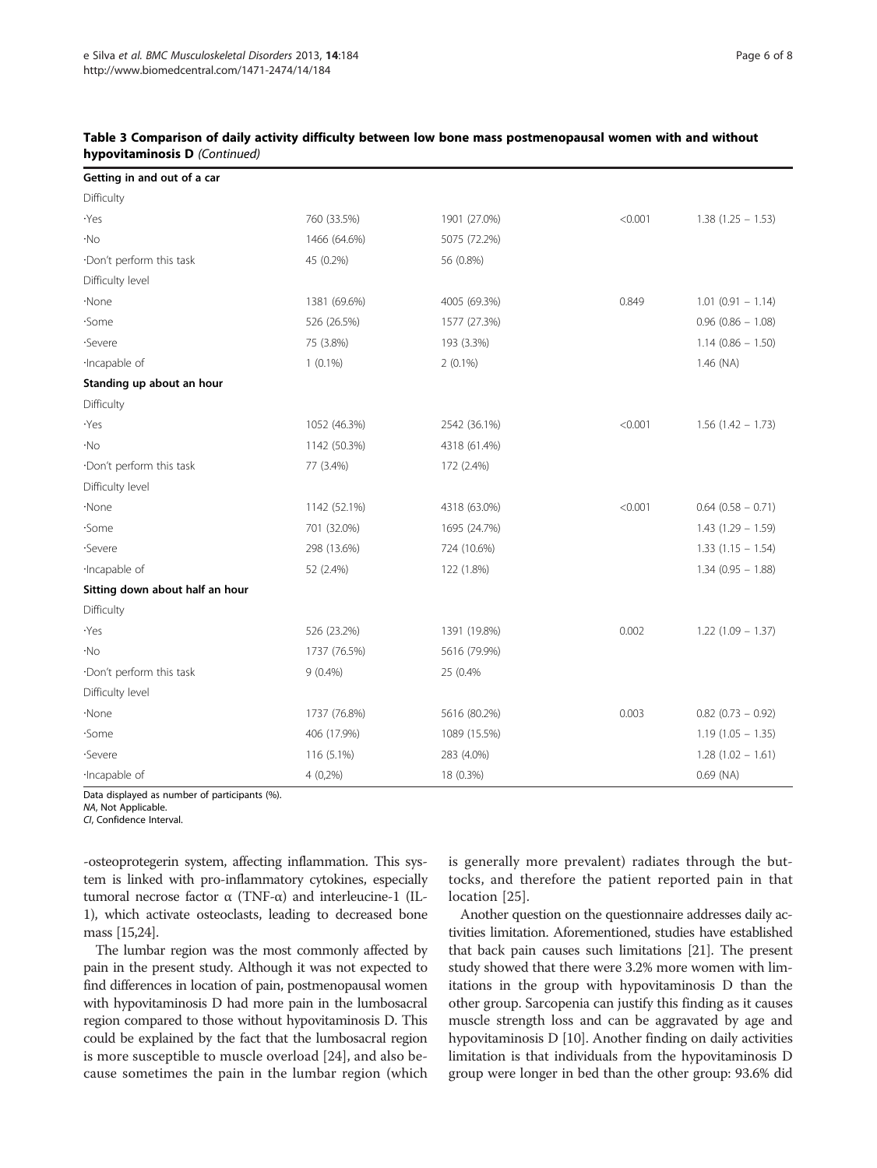| Getting in and out of a car     |              |              |         |                        |
|---------------------------------|--------------|--------------|---------|------------------------|
| Difficulty                      |              |              |         |                        |
| ·Yes                            | 760 (33.5%)  | 1901 (27.0%) | < 0.001 | $1.38(1.25 - 1.53)$    |
| ۰No                             | 1466 (64.6%) | 5075 (72.2%) |         |                        |
| ·Don't perform this task        | 45 (0.2%)    | 56 (0.8%)    |         |                        |
| Difficulty level                |              |              |         |                        |
| ·None                           | 1381 (69.6%) | 4005 (69.3%) | 0.849   | $1.01(0.91 - 1.14)$    |
| ·Some                           | 526 (26.5%)  | 1577 (27.3%) |         | $0.96$ (0.86 - 1.08)   |
| ·Severe                         | 75 (3.8%)    | 193 (3.3%)   |         | $1.14(0.86 - 1.50)$    |
| ·Incapable of                   | $1(0.1\%)$   | $2(0.1\%)$   |         | $1.46$ (NA)            |
| Standing up about an hour       |              |              |         |                        |
| Difficulty                      |              |              |         |                        |
| ·Yes                            | 1052 (46.3%) | 2542 (36.1%) | < 0.001 | $1.56(1.42 - 1.73)$    |
| ۰No                             | 1142 (50.3%) | 4318 (61.4%) |         |                        |
| ·Don't perform this task        | 77 (3.4%)    | 172 (2.4%)   |         |                        |
| Difficulty level                |              |              |         |                        |
| ·None                           | 1142 (52.1%) | 4318 (63.0%) | < 0.001 | $0.64$ $(0.58 - 0.71)$ |
| ·Some                           | 701 (32.0%)  | 1695 (24.7%) |         | $1.43(1.29 - 1.59)$    |
| ·Severe                         | 298 (13.6%)  | 724 (10.6%)  |         | $1.33(1.15 - 1.54)$    |
| ·Incapable of                   | 52 (2.4%)    | 122 (1.8%)   |         | $1.34(0.95 - 1.88)$    |
| Sitting down about half an hour |              |              |         |                        |
| Difficulty                      |              |              |         |                        |
| ·Yes                            | 526 (23.2%)  | 1391 (19.8%) | 0.002   | $1.22(1.09 - 1.37)$    |
| ۰No                             | 1737 (76.5%) | 5616 (79.9%) |         |                        |
| ·Don't perform this task        | $9(0.4\%)$   | 25 (0.4%     |         |                        |
| Difficulty level                |              |              |         |                        |
| ·None                           | 1737 (76.8%) | 5616 (80.2%) | 0.003   | $0.82$ (0.73 - 0.92)   |
| ·Some                           | 406 (17.9%)  | 1089 (15.5%) |         | $1.19(1.05 - 1.35)$    |
| ·Severe                         | 116 (5.1%)   | 283 (4.0%)   |         | $1.28(1.02 - 1.61)$    |
| ·Incapable of                   | $4(0,2\%)$   | 18 (0.3%)    |         | $0.69$ (NA)            |

## Table 3 Comparison of daily activity difficulty between low bone mass postmenopausal women with and without hypovitaminosis D (Continued)

Data displayed as number of participants (%).

NA, Not Applicable.

CI, Confidence Interval.

-osteoprotegerin system, affecting inflammation. This system is linked with pro-inflammatory cytokines, especially tumoral necrose factor α (TNF-α) and interleucine-1 (IL-1), which activate osteoclasts, leading to decreased bone mass [\[15,24\]](#page-8-0).

The lumbar region was the most commonly affected by pain in the present study. Although it was not expected to find differences in location of pain, postmenopausal women with hypovitaminosis D had more pain in the lumbosacral region compared to those without hypovitaminosis D. This could be explained by the fact that the lumbosacral region is more susceptible to muscle overload [[24\]](#page-8-0), and also because sometimes the pain in the lumbar region (which is generally more prevalent) radiates through the buttocks, and therefore the patient reported pain in that location [\[25](#page-8-0)].

Another question on the questionnaire addresses daily activities limitation. Aforementioned, studies have established that back pain causes such limitations [\[21\]](#page-8-0). The present study showed that there were 3.2% more women with limitations in the group with hypovitaminosis D than the other group. Sarcopenia can justify this finding as it causes muscle strength loss and can be aggravated by age and hypovitaminosis D [\[10\]](#page-7-0). Another finding on daily activities limitation is that individuals from the hypovitaminosis D group were longer in bed than the other group: 93.6% did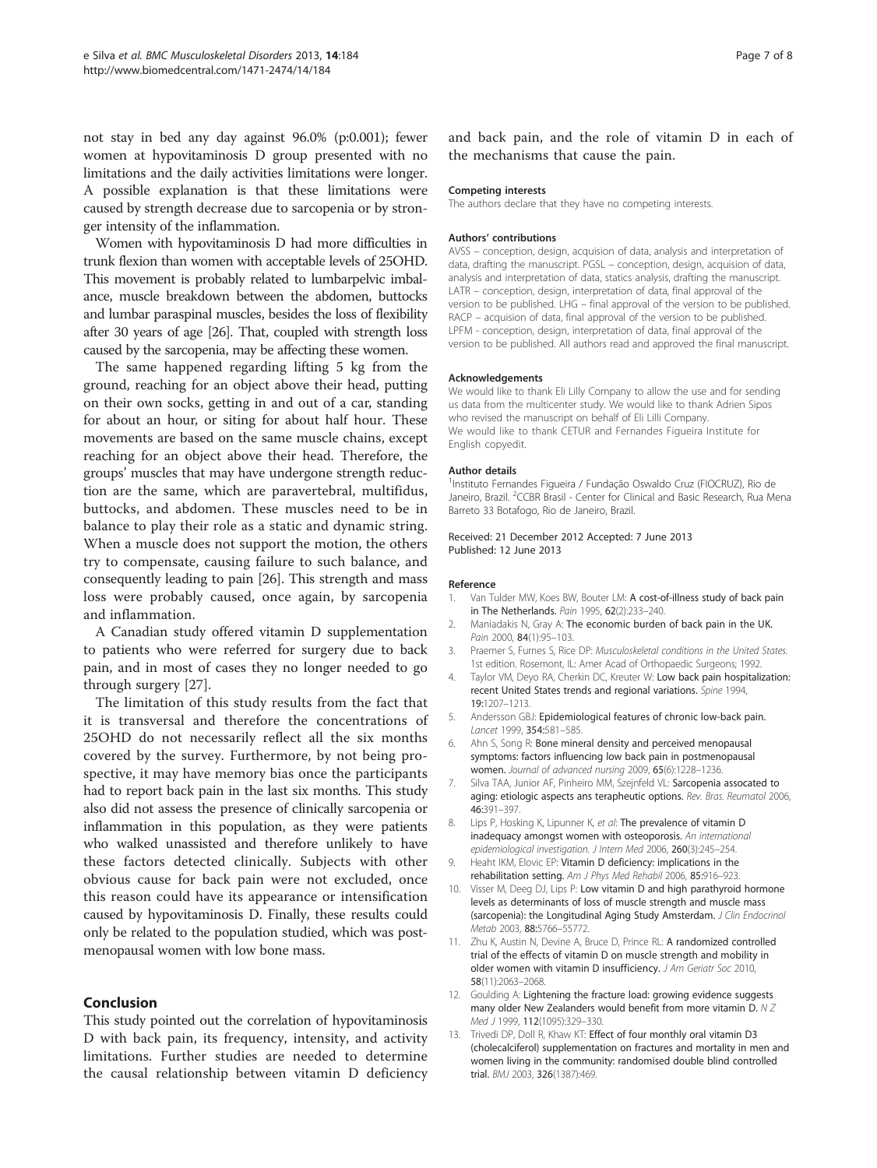<span id="page-7-0"></span>not stay in bed any day against 96.0% (p:0.001); fewer women at hypovitaminosis D group presented with no limitations and the daily activities limitations were longer. A possible explanation is that these limitations were caused by strength decrease due to sarcopenia or by stronger intensity of the inflammation.

Women with hypovitaminosis D had more difficulties in trunk flexion than women with acceptable levels of 25OHD. This movement is probably related to lumbarpelvic imbalance, muscle breakdown between the abdomen, buttocks and lumbar paraspinal muscles, besides the loss of flexibility after 30 years of age [\[26](#page-8-0)]. That, coupled with strength loss caused by the sarcopenia, may be affecting these women.

The same happened regarding lifting 5 kg from the ground, reaching for an object above their head, putting on their own socks, getting in and out of a car, standing for about an hour, or siting for about half hour. These movements are based on the same muscle chains, except reaching for an object above their head. Therefore, the groups' muscles that may have undergone strength reduction are the same, which are paravertebral, multifidus, buttocks, and abdomen. These muscles need to be in balance to play their role as a static and dynamic string. When a muscle does not support the motion, the others try to compensate, causing failure to such balance, and consequently leading to pain [\[26\]](#page-8-0). This strength and mass loss were probably caused, once again, by sarcopenia and inflammation.

A Canadian study offered vitamin D supplementation to patients who were referred for surgery due to back pain, and in most of cases they no longer needed to go through surgery [\[27](#page-8-0)].

The limitation of this study results from the fact that it is transversal and therefore the concentrations of 25OHD do not necessarily reflect all the six months covered by the survey. Furthermore, by not being prospective, it may have memory bias once the participants had to report back pain in the last six months. This study also did not assess the presence of clinically sarcopenia or inflammation in this population, as they were patients who walked unassisted and therefore unlikely to have these factors detected clinically. Subjects with other obvious cause for back pain were not excluded, once this reason could have its appearance or intensification caused by hypovitaminosis D. Finally, these results could only be related to the population studied, which was postmenopausal women with low bone mass.

#### Conclusion

This study pointed out the correlation of hypovitaminosis D with back pain, its frequency, intensity, and activity limitations. Further studies are needed to determine the causal relationship between vitamin D deficiency and back pain, and the role of vitamin D in each of the mechanisms that cause the pain.

#### Competing interests

The authors declare that they have no competing interests.

#### Authors' contributions

AVSS – conception, design, acquision of data, analysis and interpretation of data, drafting the manuscript. PGSL – conception, design, acquision of data, analysis and interpretation of data, statics analysis, drafting the manuscript. LATR – conception, design, interpretation of data, final approval of the version to be published. LHG – final approval of the version to be published. RACP – acquision of data, final approval of the version to be published. LPFM - conception, design, interpretation of data, final approval of the version to be published. All authors read and approved the final manuscript.

#### Acknowledgements

We would like to thank Eli Lilly Company to allow the use and for sending us data from the multicenter study. We would like to thank Adrien Sipos who revised the manuscript on behalf of Fli Lilli Company. We would like to thank CETUR and Fernandes Figueira Institute for English copyedit.

#### Author details

1 Instituto Fernandes Figueira / Fundação Oswaldo Cruz (FIOCRUZ), Rio de Janeiro, Brazil. <sup>2</sup>CCBR Brasil - Center for Clinical and Basic Research, Rua Mena Barreto 33 Botafogo, Rio de Janeiro, Brazil.

#### Received: 21 December 2012 Accepted: 7 June 2013 Published: 12 June 2013

#### Reference

- 1. Van Tulder MW, Koes BW, Bouter LM: A cost-of-illness study of back pain in The Netherlands. Pain 1995, 62(2):233–240.
- 2. Maniadakis N, Gray A: The economic burden of back pain in the UK. Pain 2000, 84(1):95-103.
- 3. Praemer S, Furnes S, Rice DP: Musculoskeletal conditions in the United States. 1st edition. Rosemont, IL: Amer Acad of Orthopaedic Surgeons; 1992.
- 4. Taylor VM, Deyo RA, Cherkin DC, Kreuter W: Low back pain hospitalization: recent United States trends and regional variations. Spine 1994, 19:1207–1213.
- 5. Andersson GBJ: Epidemiological features of chronic low-back pain. Lancet 1999, 354:581–585.
- 6. Ahn S, Song R: Bone mineral density and perceived menopausal symptoms: factors influencing low back pain in postmenopausal women. Journal of advanced nursing 2009, 65(6):1228–1236.
- 7. Silva TAA, Junior AF, Pinheiro MM, Szejnfeld VL: Sarcopenia assocated to aging: etiologic aspects ans terapheutic options. Rev. Bras. Reumatol 2006, 46:391–397.
- 8. Lips P, Hosking K, Lipunner K, et al: The prevalence of vitamin D inadequacy amongst women with osteoporosis. An international epidemiological investigation. J Intern Med 2006, 260(3):245-254.
- 9. Heaht IKM, Elovic EP: Vitamin D deficiency: implications in the rehabilitation setting. Am J Phys Med Rehabil 2006, 85:916–923.
- 10. Visser M, Deeg DJ, Lips P: Low vitamin D and high parathyroid hormone levels as determinants of loss of muscle strength and muscle mass (sarcopenia): the Longitudinal Aging Study Amsterdam. J Clin Endocrinol Metab 2003, 88:5766–55772.
- 11. Zhu K, Austin N, Devine A, Bruce D, Prince RL: A randomized controlled trial of the effects of vitamin D on muscle strength and mobility in older women with vitamin D insufficiency. J Am Geriatr Soc 2010, 58(11):2063–2068.
- 12. Goulding A: Lightening the fracture load: growing evidence suggests many older New Zealanders would benefit from more vitamin D. N Z Med J 1999, 112(1095):329–330.
- 13. Trivedi DP, Doll R, Khaw KT: Effect of four monthly oral vitamin D3 (cholecalciferol) supplementation on fractures and mortality in men and women living in the community: randomised double blind controlled trial. BMJ 2003, 326(1387):469.